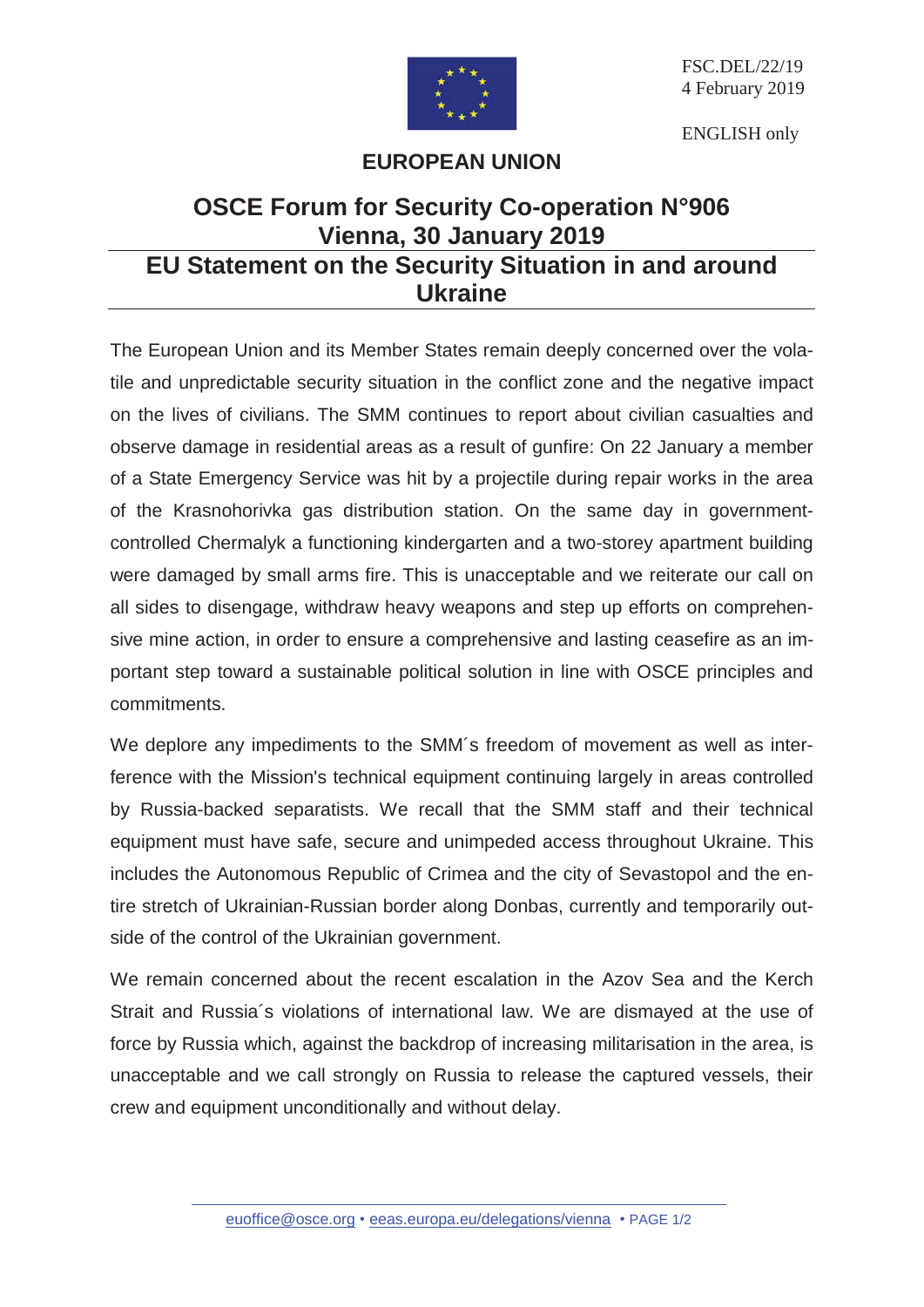

FSC.DEL/22/19 4 February 2019

ENGLISH only

## **EUROPEAN UNION**

## **OSCE Forum for Security Co-operation N°906 Vienna, 30 January 2019 EU Statement on the Security Situation in and around Ukraine**

The European Union and its Member States remain deeply concerned over the volatile and unpredictable security situation in the conflict zone and the negative impact on the lives of civilians. The SMM continues to report about civilian casualties and observe damage in residential areas as a result of gunfire: On 22 January a member of a State Emergency Service was hit by a projectile during repair works in the area of the Krasnohorivka gas distribution station. On the same day in governmentcontrolled Chermalyk a functioning kindergarten and a two-storey apartment building were damaged by small arms fire. This is unacceptable and we reiterate our call on all sides to disengage, withdraw heavy weapons and step up efforts on comprehensive mine action, in order to ensure a comprehensive and lasting ceasefire as an important step toward a sustainable political solution in line with OSCE principles and commitments.

We deplore any impediments to the SMM's freedom of movement as well as interference with the Mission's technical equipment continuing largely in areas controlled by Russia-backed separatists. We recall that the SMM staff and their technical equipment must have safe, secure and unimpeded access throughout Ukraine. This includes the Autonomous Republic of Crimea and the city of Sevastopol and the entire stretch of Ukrainian-Russian border along Donbas, currently and temporarily outside of the control of the Ukrainian government.

We remain concerned about the recent escalation in the Azov Sea and the Kerch Strait and Russia´s violations of international law. We are dismayed at the use of force by Russia which, against the backdrop of increasing militarisation in the area, is unacceptable and we call strongly on Russia to release the captured vessels, their crew and equipment unconditionally and without delay.